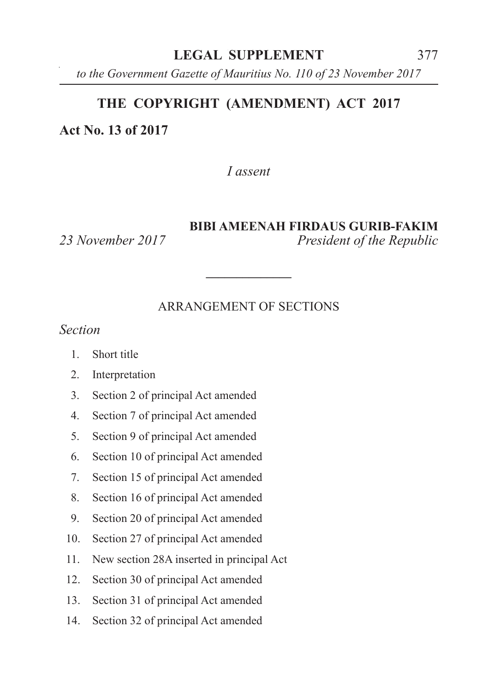*to the Government Gazette of Mauritius No. 110 of 23 November 2017*

#### **THE COPYRIGHT (AMENDMENT) ACT 2017**

**Act No. 13 of 2017**

*I assent*

#### **BIBI AMEENAH FIRDAUS GURIB-FAKIM**

*23 November 2017 President of the Republic*

#### ARRANGEMENT OF SECTIONS

**\_\_\_\_\_\_\_\_\_\_\_\_\_\_**

*Section*

- 1. Short title
- 2. Interpretation
- 3. Section 2 of principal Act amended
- 4. Section 7 of principal Act amended
- 5. Section 9 of principal Act amended
- 6. Section 10 of principal Act amended
- 7. Section 15 of principal Act amended
- 8. Section 16 of principal Act amended
- 9. Section 20 of principal Act amended
- 10. Section 27 of principal Act amended
- 11. New section 28A inserted in principal Act
- 12. Section 30 of principal Act amended
- 13. Section 31 of principal Act amended
- 14. Section 32 of principal Act amended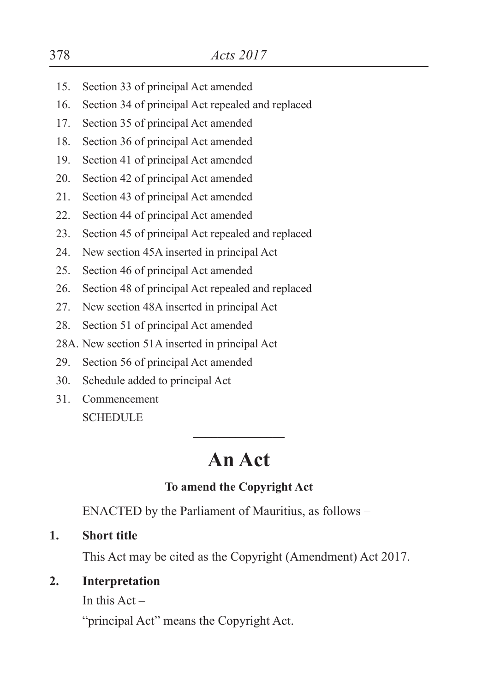- 15. Section 33 of principal Act amended
- 16. Section 34 of principal Act repealed and replaced
- 17. Section 35 of principal Act amended
- 18. Section 36 of principal Act amended
- 19. Section 41 of principal Act amended
- 20. Section 42 of principal Act amended
- 21. Section 43 of principal Act amended
- 22. Section 44 of principal Act amended
- 23. Section 45 of principal Act repealed and replaced
- 24. New section 45A inserted in principal Act
- 25. Section 46 of principal Act amended
- 26. Section 48 of principal Act repealed and replaced
- 27. New section 48A inserted in principal Act
- 28. Section 51 of principal Act amended
- 28A. New section 51A inserted in principal Act
- 29. Section 56 of principal Act amended
- 30. Schedule added to principal Act
- 31. Commencement **SCHEDULE**

# **An Act**

**\_\_\_\_\_\_\_\_\_\_\_\_\_\_\_**

### **To amend the Copyright Act**

ENACTED by the Parliament of Mauritius, as follows –

**1. Short title**

This Act may be cited as the Copyright (Amendment) Act 2017.

### **2. Interpretation**

In this  $Act -$ 

"principal Act" means the Copyright Act.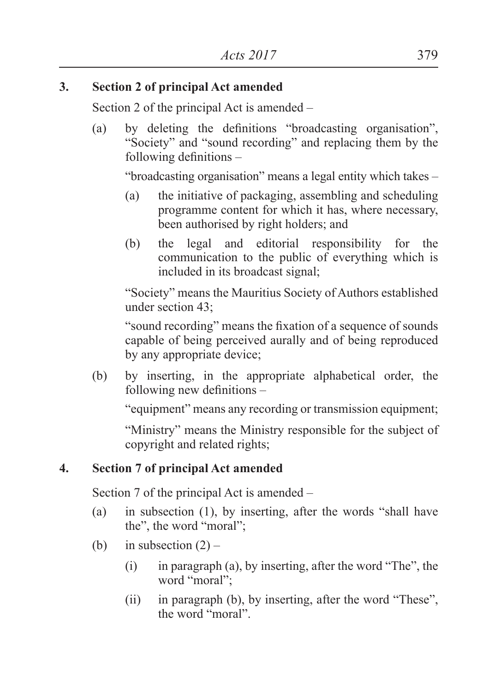#### **3. Section 2 of principal Act amended**

Section 2 of the principal Act is amended –

(a) by deleting the definitions "broadcasting organisation", "Society" and "sound recording" and replacing them by the following definitions –

"broadcasting organisation" means a legal entity which takes –

- (a) the initiative of packaging, assembling and scheduling programme content for which it has, where necessary, been authorised by right holders; and
- (b) the legal and editorial responsibility for the communication to the public of everything which is included in its broadcast signal;

"Society" means the Mauritius Society of Authors established under section 43;

"sound recording" means the fixation of a sequence of sounds capable of being perceived aurally and of being reproduced by any appropriate device;

(b) by inserting, in the appropriate alphabetical order, the following new definitions –

"equipment" means any recording or transmission equipment;

"Ministry" means the Ministry responsible for the subject of copyright and related rights;

### **4. Section 7 of principal Act amended**

Section 7 of the principal Act is amended –

- (a) in subsection (1), by inserting, after the words "shall have the", the word "moral";
- (b) in subsection  $(2)$ 
	- (i) in paragraph (a), by inserting, after the word "The", the word "moral";
	- (ii) in paragraph (b), by inserting, after the word "These", the word "moral".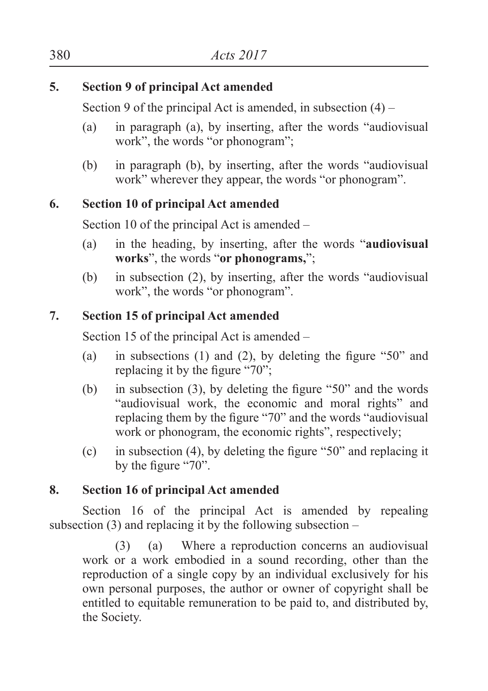#### **5. Section 9 of principal Act amended**

Section 9 of the principal Act is amended, in subsection  $(4)$  –

- (a) in paragraph (a), by inserting, after the words "audiovisual work", the words "or phonogram";
- (b) in paragraph (b), by inserting, after the words "audiovisual work" wherever they appear, the words "or phonogram".

## **6. Section 10 of principal Act amended**

Section 10 of the principal Act is amended –

- (a) in the heading, by inserting, after the words "**audiovisual works**", the words "**or phonograms,**";
- (b) in subsection (2), by inserting, after the words "audiovisual work", the words "or phonogram".

## **7. Section 15 of principal Act amended**

Section 15 of the principal Act is amended –

- (a) in subsections (1) and (2), by deleting the figure "50" and replacing it by the figure "70":
- (b) in subsection (3), by deleting the figure "50" and the words "audiovisual work, the economic and moral rights" and replacing them by the figure "70" and the words "audiovisual work or phonogram, the economic rights", respectively;
- (c) in subsection (4), by deleting the figure "50" and replacing it by the figure "70".

## **8. Section 16 of principal Act amended**

Section 16 of the principal Act is amended by repealing subsection  $(3)$  and replacing it by the following subsection –

(3) (a) Where a reproduction concerns an audiovisual work or a work embodied in a sound recording, other than the reproduction of a single copy by an individual exclusively for his own personal purposes, the author or owner of copyright shall be entitled to equitable remuneration to be paid to, and distributed by, the Society.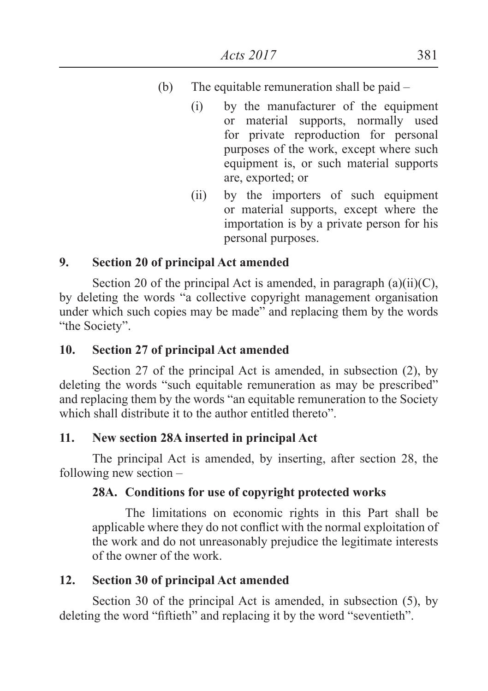- $(b)$  The equitable remuneration shall be paid  $-$ 
	- (i) by the manufacturer of the equipment or material supports, normally used for private reproduction for personal purposes of the work, except where such equipment is, or such material supports are, exported; or
	- (ii) by the importers of such equipment or material supports, except where the importation is by a private person for his personal purposes.

#### **9. Section 20 of principal Act amended**

Section 20 of the principal Act is amended, in paragraph  $(a)(ii)(C)$ , by deleting the words "a collective copyright management organisation under which such copies may be made" and replacing them by the words "the Society".

#### **10. Section 27 of principal Act amended**

Section 27 of the principal Act is amended, in subsection (2), by deleting the words "such equitable remuneration as may be prescribed" and replacing them by the words "an equitable remuneration to the Society which shall distribute it to the author entitled thereto".

#### **11. New section 28A inserted in principal Act**

The principal Act is amended, by inserting, after section 28, the following new section –

#### **28A. Conditions for use of copyright protected works**

The limitations on economic rights in this Part shall be applicable where they do not conflict with the normal exploitation of the work and do not unreasonably prejudice the legitimate interests of the owner of the work.

#### **12. Section 30 of principal Act amended**

Section 30 of the principal Act is amended, in subsection (5), by deleting the word "fiftieth" and replacing it by the word "seventieth".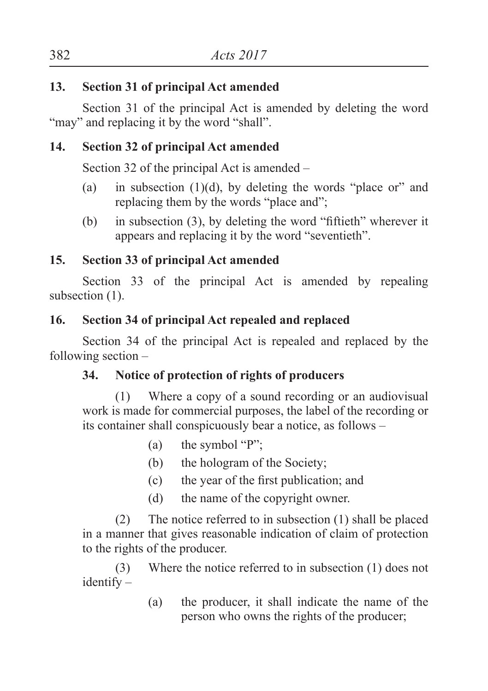### **13. Section 31 of principal Act amended**

Section 31 of the principal Act is amended by deleting the word "may" and replacing it by the word "shall".

## **14. Section 32 of principal Act amended**

Section 32 of the principal Act is amended –

- (a) in subsection  $(1)(d)$ , by deleting the words "place or" and replacing them by the words "place and";
- (b) in subsection  $(3)$ , by deleting the word "fiftieth" wherever it appears and replacing it by the word "seventieth".

## **15. Section 33 of principal Act amended**

Section 33 of the principal Act is amended by repealing subsection  $(1)$ .

## **16. Section 34 of principal Act repealed and replaced**

Section 34 of the principal Act is repealed and replaced by the following section –

## **34. Notice of protection of rights of producers**

(1) Where a copy of a sound recording or an audiovisual work is made for commercial purposes, the label of the recording or its container shall conspicuously bear a notice, as follows –

- (a) the symbol "P";
- (b) the hologram of the Society;
- (c) the year of the first publication; and
- (d) the name of the copyright owner.

 (2) The notice referred to in subsection (1) shall be placed in a manner that gives reasonable indication of claim of protection to the rights of the producer.

 (3) Where the notice referred to in subsection (1) does not identify –

> (a) the producer, it shall indicate the name of the person who owns the rights of the producer;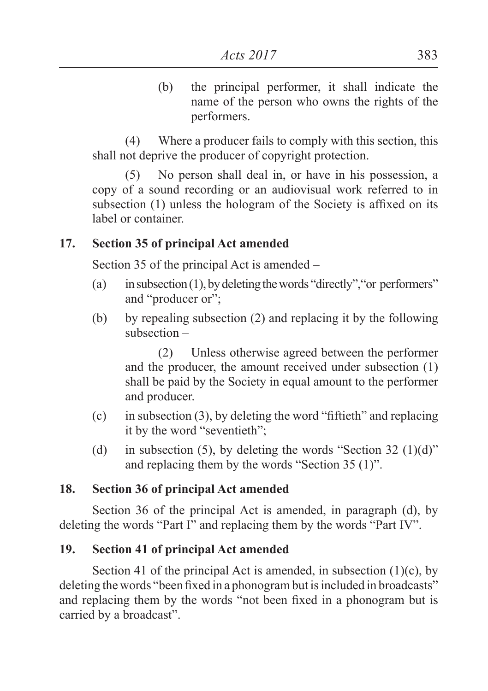(b) the principal performer, it shall indicate the name of the person who owns the rights of the performers.

 (4) Where a producer fails to comply with this section, this shall not deprive the producer of copyright protection.

(5) No person shall deal in, or have in his possession, a copy of a sound recording or an audiovisual work referred to in subsection (1) unless the hologram of the Society is affixed on its label or container.

#### **17. Section 35 of principal Act amended**

Section 35 of the principal Act is amended –

- (a) in subsection (1), by deleting the words "directly", "or performers" and "producer or";
- (b) by repealing subsection (2) and replacing it by the following subsection –

 (2) Unless otherwise agreed between the performer and the producer, the amount received under subsection (1) shall be paid by the Society in equal amount to the performer and producer.

- (c) in subsection (3), by deleting the word "fiftieth" and replacing it by the word "seventieth";
- (d) in subsection (5), by deleting the words "Section 32 (1)(d)" and replacing them by the words "Section 35 (1)".

#### **18. Section 36 of principal Act amended**

Section 36 of the principal Act is amended, in paragraph (d), by deleting the words "Part I" and replacing them by the words "Part IV".

#### **19. Section 41 of principal Act amended**

Section 41 of the principal Act is amended, in subsection  $(1)(c)$ , by deleting the words "been fixed in a phonogram but is included in broadcasts" and replacing them by the words "not been fixed in a phonogram but is carried by a broadcast".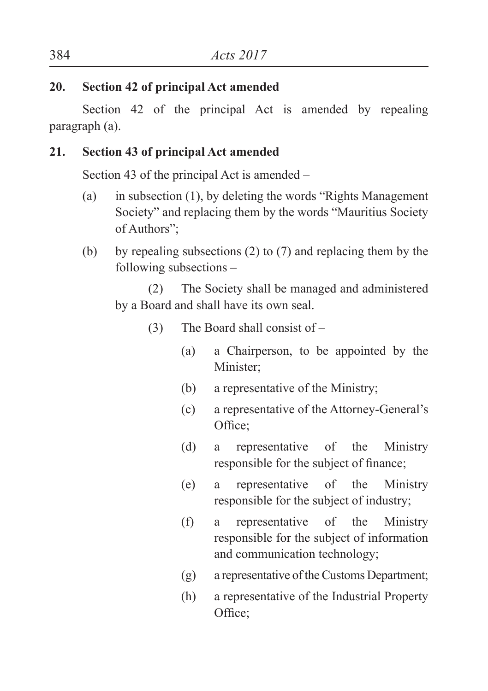#### **20. Section 42 of principal Act amended**

Section 42 of the principal Act is amended by repealing paragraph (a).

## **21. Section 43 of principal Act amended**

Section 43 of the principal Act is amended –

- (a) in subsection (1), by deleting the words "Rights Management Society" and replacing them by the words "Mauritius Society of Authors";
- (b) by repealing subsections (2) to (7) and replacing them by the following subsections –

 (2) The Society shall be managed and administered by a Board and shall have its own seal.

- (3) The Board shall consist of
	- (a) a Chairperson, to be appointed by the Minister;
	- (b) a representative of the Ministry;
	- (c) a representative of the Attorney-General's Office;
	- (d) a representative of the Ministry responsible for the subject of finance;
	- (e) a representative of the Ministry responsible for the subject of industry;
	- (f) a representative of the Ministry responsible for the subject of information and communication technology;
	- (g) a representative of the Customs Department;
	- (h) a representative of the Industrial Property Office;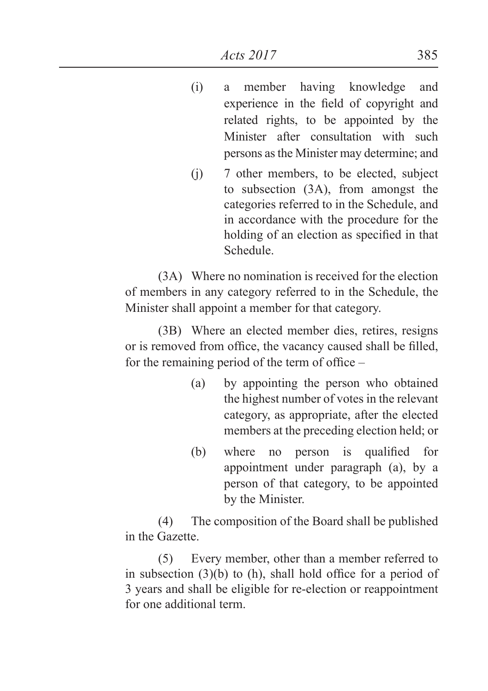- (i) a member having knowledge and experience in the field of copyright and related rights, to be appointed by the Minister after consultation with such persons as the Minister may determine; and
- (j) 7 other members, to be elected, subject to subsection (3A), from amongst the categories referred to in the Schedule, and in accordance with the procedure for the holding of an election as specified in that Schedule.

 (3A) Where no nomination is received for the election of members in any category referred to in the Schedule, the Minister shall appoint a member for that category.

 (3B) Where an elected member dies, retires, resigns or is removed from office, the vacancy caused shall be filled, for the remaining period of the term of office –

- (a) by appointing the person who obtained the highest number of votes in the relevant category, as appropriate, after the elected members at the preceding election held; or
- (b) where no person is qualified for appointment under paragraph (a), by a person of that category, to be appointed by the Minister.

 (4) The composition of the Board shall be published in the Gazette.

 (5) Every member, other than a member referred to in subsection (3)(b) to (h), shall hold office for a period of 3 years and shall be eligible for re-election or reappointment for one additional term.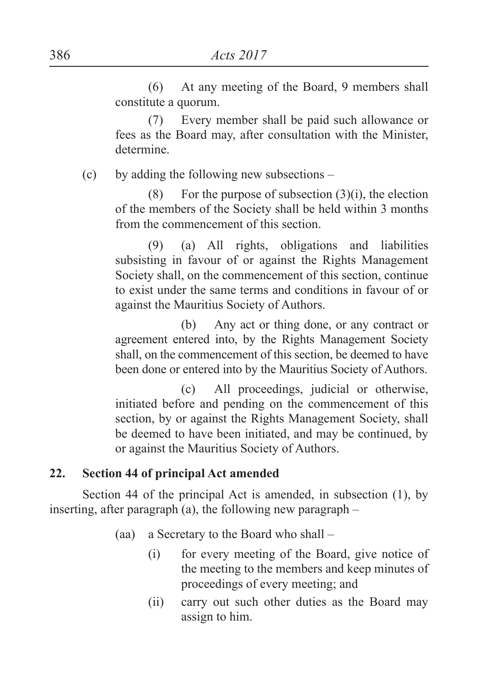(6) At any meeting of the Board, 9 members shall constitute a quorum.

 (7) Every member shall be paid such allowance or fees as the Board may, after consultation with the Minister, determine.

(c) by adding the following new subsections –

(8) For the purpose of subsection  $(3)(i)$ , the election of the members of the Society shall be held within 3 months from the commencement of this section.

 (9) (a) All rights, obligations and liabilities subsisting in favour of or against the Rights Management Society shall, on the commencement of this section, continue to exist under the same terms and conditions in favour of or against the Mauritius Society of Authors.

 (b) Any act or thing done, or any contract or agreement entered into, by the Rights Management Society shall, on the commencement of this section, be deemed to have been done or entered into by the Mauritius Society of Authors.

 (c) All proceedings, judicial or otherwise, initiated before and pending on the commencement of this section, by or against the Rights Management Society, shall be deemed to have been initiated, and may be continued, by or against the Mauritius Society of Authors.

#### **22. Section 44 of principal Act amended**

Section 44 of the principal Act is amended, in subsection (1), by inserting, after paragraph (a), the following new paragraph –

- (aa) a Secretary to the Board who shall
	- (i) for every meeting of the Board, give notice of the meeting to the members and keep minutes of proceedings of every meeting; and
	- (ii) carry out such other duties as the Board may assign to him.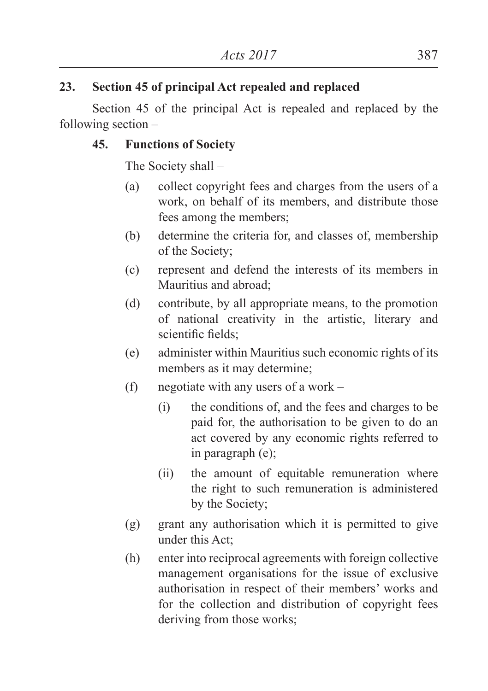### **23. Section 45 of principal Act repealed and replaced**

Section 45 of the principal Act is repealed and replaced by the following section –

#### **45. Functions of Society**

The Society shall –

- (a) collect copyright fees and charges from the users of a work, on behalf of its members, and distribute those fees among the members;
- (b) determine the criteria for, and classes of, membership of the Society;
- (c) represent and defend the interests of its members in Mauritius and abroad;
- (d) contribute, by all appropriate means, to the promotion of national creativity in the artistic, literary and scientific fields<sup>.</sup>
- (e) administer within Mauritius such economic rights of its members as it may determine;
- (f) negotiate with any users of a work
	- (i) the conditions of, and the fees and charges to be paid for, the authorisation to be given to do an act covered by any economic rights referred to in paragraph (e);
	- (ii) the amount of equitable remuneration where the right to such remuneration is administered by the Society;
- (g) grant any authorisation which it is permitted to give under this Act;
- (h) enter into reciprocal agreements with foreign collective management organisations for the issue of exclusive authorisation in respect of their members' works and for the collection and distribution of copyright fees deriving from those works;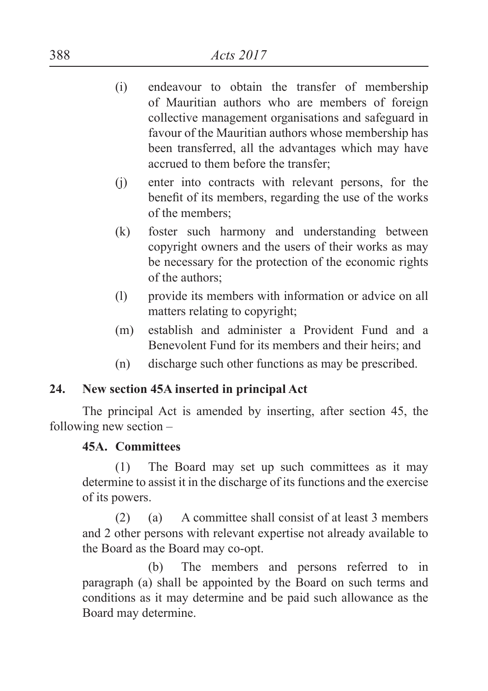- (i) endeavour to obtain the transfer of membership of Mauritian authors who are members of foreign collective management organisations and safeguard in favour of the Mauritian authors whose membership has been transferred, all the advantages which may have accrued to them before the transfer;
- (j) enter into contracts with relevant persons, for the benefit of its members, regarding the use of the works of the members;
- (k) foster such harmony and understanding between copyright owners and the users of their works as may be necessary for the protection of the economic rights of the authors;
- (l) provide its members with information or advice on all matters relating to copyright;
- (m) establish and administer a Provident Fund and a Benevolent Fund for its members and their heirs; and
- (n) discharge such other functions as may be prescribed.

### **24. New section 45A inserted in principal Act**

The principal Act is amended by inserting, after section 45, the following new section –

### **45A. Committees**

(1) The Board may set up such committees as it may determine to assist it in the discharge of its functions and the exercise of its powers.

 (2) (a) A committee shall consist of at least 3 members and 2 other persons with relevant expertise not already available to the Board as the Board may co-opt.

 (b) The members and persons referred to in paragraph (a) shall be appointed by the Board on such terms and conditions as it may determine and be paid such allowance as the Board may determine.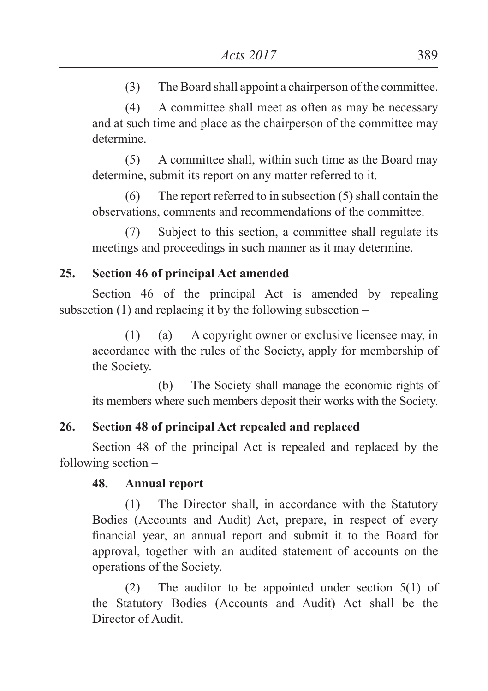(3) The Board shall appoint a chairperson of the committee.

 (4) A committee shall meet as often as may be necessary and at such time and place as the chairperson of the committee may determine.

 (5) A committee shall, within such time as the Board may determine, submit its report on any matter referred to it.

 (6) The report referred to in subsection (5) shall contain the observations, comments and recommendations of the committee.

 (7) Subject to this section, a committee shall regulate its meetings and proceedings in such manner as it may determine.

## **25. Section 46 of principal Act amended**

Section 46 of the principal Act is amended by repealing subsection  $(1)$  and replacing it by the following subsection –

(1) (a) A copyright owner or exclusive licensee may, in accordance with the rules of the Society, apply for membership of the Society.

 (b) The Society shall manage the economic rights of its members where such members deposit their works with the Society.

## **26. Section 48 of principal Act repealed and replaced**

Section 48 of the principal Act is repealed and replaced by the following section –

### **48. Annual report**

(1) The Director shall, in accordance with the Statutory Bodies (Accounts and Audit) Act, prepare, in respect of every financial year, an annual report and submit it to the Board for approval, together with an audited statement of accounts on the operations of the Society.

(2) The auditor to be appointed under section 5(1) of the Statutory Bodies (Accounts and Audit) Act shall be the Director of Audit.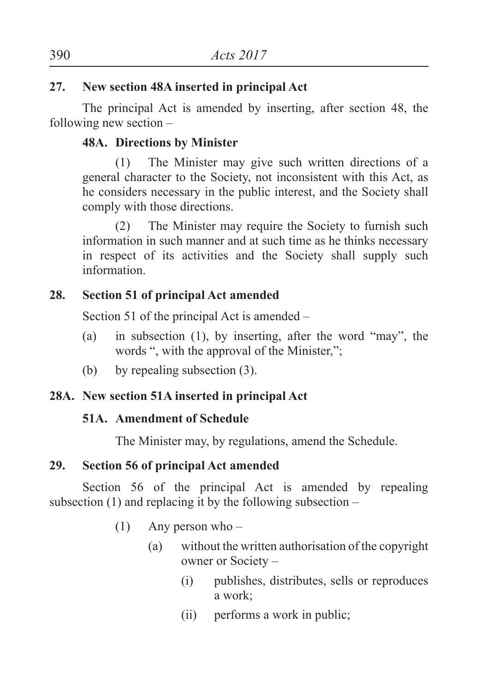### **27. New section 48A inserted in principal Act**

The principal Act is amended by inserting, after section 48, the following new section –

## **48A. Directions by Minister**

(1) The Minister may give such written directions of a general character to the Society, not inconsistent with this Act, as he considers necessary in the public interest, and the Society shall comply with those directions.

 (2) The Minister may require the Society to furnish such information in such manner and at such time as he thinks necessary in respect of its activities and the Society shall supply such information.

## **28. Section 51 of principal Act amended**

Section 51 of the principal Act is amended –

- (a) in subsection (1), by inserting, after the word "may", the words ", with the approval of the Minister,";
- (b) by repealing subsection (3).

### **28A. New section 51A inserted in principal Act**

### **51A. Amendment of Schedule**

The Minister may, by regulations, amend the Schedule.

### **29. Section 56 of principal Act amended**

Section 56 of the principal Act is amended by repealing subsection  $(1)$  and replacing it by the following subsection –

- $(1)$  Any person who
	- (a) without the written authorisation of the copyright owner or Society –
		- (i) publishes, distributes, sells or reproduces a work;
		- (ii) performs a work in public;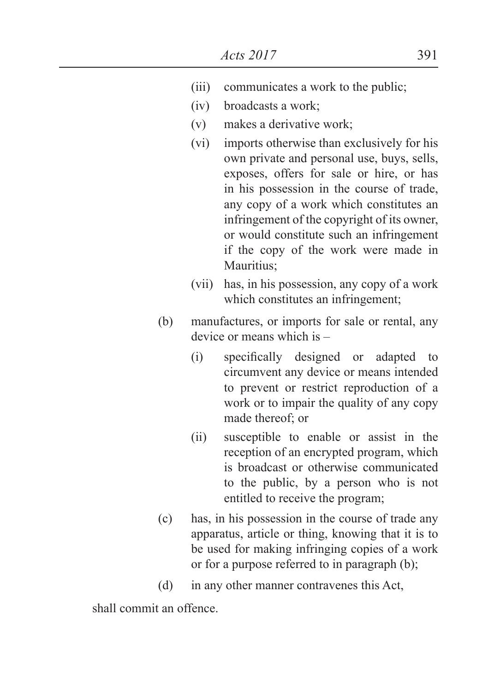- (iii) communicates a work to the public;
- (iv) broadcasts a work;
- (v) makes a derivative work;
- (vi) imports otherwise than exclusively for his own private and personal use, buys, sells, exposes, offers for sale or hire, or has in his possession in the course of trade, any copy of a work which constitutes an infringement of the copyright of its owner, or would constitute such an infringement if the copy of the work were made in Mauritius:
- (vii) has, in his possession, any copy of a work which constitutes an infringement;
- (b) manufactures, or imports for sale or rental, any device or means which is –
	- (i) specifically designed or adapted to circumvent any device or means intended to prevent or restrict reproduction of a work or to impair the quality of any copy made thereof; or
	- (ii) susceptible to enable or assist in the reception of an encrypted program, which is broadcast or otherwise communicated to the public, by a person who is not entitled to receive the program;
- (c) has, in his possession in the course of trade any apparatus, article or thing, knowing that it is to be used for making infringing copies of a work or for a purpose referred to in paragraph (b);
- (d) in any other manner contravenes this Act,

shall commit an offence.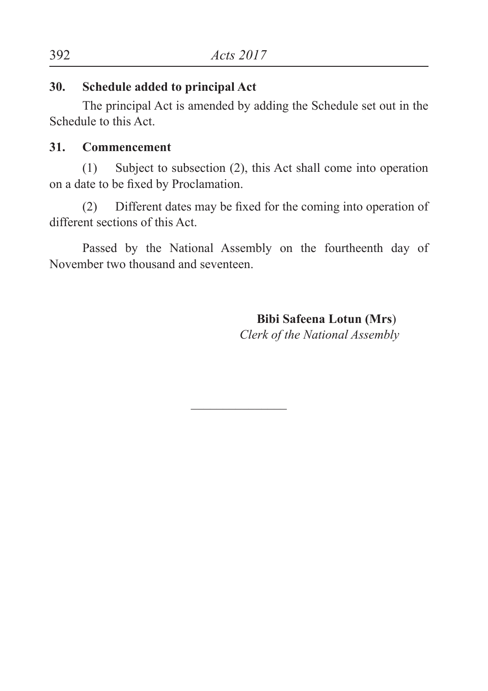#### **30. Schedule added to principal Act**

The principal Act is amended by adding the Schedule set out in the Schedule to this Act.

#### **31. Commencement**

(1) Subject to subsection (2), this Act shall come into operation on a date to be fixed by Proclamation.

 (2) Different dates may be fixed for the coming into operation of different sections of this Act.

Passed by the National Assembly on the fourtheenth day of November two thousand and seventeen.

 $\overline{\phantom{a}}$  , where  $\overline{\phantom{a}}$ 

 **Bibi Safeena Lotun (Mrs**)  *Clerk of the National Assembly*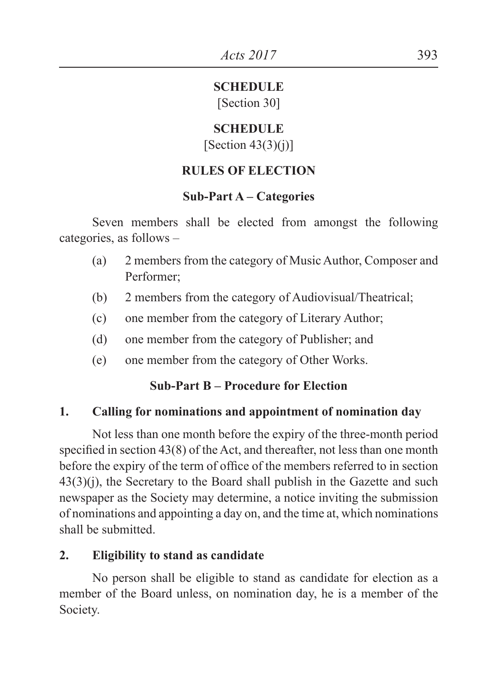## **SCHEDULE**

[Section 30]

#### **SCHEDULE**  $[Section 43(3)(i)]$

## **RULES OF ELECTION**

## **Sub-Part A – Categories**

Seven members shall be elected from amongst the following categories, as follows –

- (a) 2 members from the category of Music Author, Composer and Performer;
- (b) 2 members from the category of Audiovisual/Theatrical;
- (c) one member from the category of Literary Author;
- (d) one member from the category of Publisher; and
- (e) one member from the category of Other Works.

## **Sub-Part B – Procedure for Election**

## **1. Calling for nominations and appointment of nomination day**

 Not less than one month before the expiry of the three-month period specified in section 43(8) of the Act, and thereafter, not less than one month before the expiry of the term of office of the members referred to in section  $43(3)(i)$ , the Secretary to the Board shall publish in the Gazette and such newspaper as the Society may determine, a notice inviting the submission of nominations and appointing a day on, and the time at, which nominations shall be submitted.

## **2. Eligibility to stand as candidate**

No person shall be eligible to stand as candidate for election as a member of the Board unless, on nomination day, he is a member of the Society.